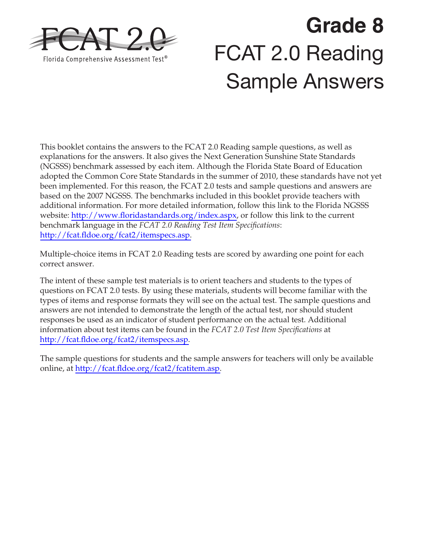

# **Grade 8**  FCAT 2.0 Reading Sample Answers

This booklet contains the answers to the FCAT 2.0 Reading sample questions, as well as explanations for the answers. It also gives the Next Generation Sunshine State Standards (NGSSS) benchmark assessed by each item. Although the Florida State Board of Education adopted the Common Core State Standards in the summer of 2010, these standards have not yet been implemented. For this reason, the FCAT 2.0 tests and sample questions and answers are based on the 2007 NGSSS. The benchmarks included in this booklet provide teachers with additional information. For more detailed information, follow this link to the Florida NGSSS website: [http://www.floridastandards.org/index.aspx,](http://www.floridastandards.org/index.aspx) or follow this link to the current benchmark language in the *FCAT 2.0 Reading Test Item Specifications*: [http://fcat.fldoe.org/fcat2/itemspecs.asp.](http://fcat.fldoe.org/fcat2/itemspecs.asp)

Multiple-choice items in FCAT 2.0 Reading tests are scored by awarding one point for each correct answer.

The intent of these sample test materials is to orient teachers and students to the types of questions on FCAT 2.0 tests. By using these materials, students will become familiar with the types of items and response formats they will see on the actual test. The sample questions and answers are not intended to demonstrate the length of the actual test, nor should student responses be used as an indicator of student performance on the actual test. Additional information about test items can be found in the *FCAT 2.0 Test Item Specifications* at [http://fcat.fldoe.org/fcat2/itemspecs.asp.](http://fcat.fldoe.org/fcat2/itemspecs.asp)

The sample questions for students and the sample answers for teachers will only be available online, at [http://fcat.fldoe.org/fcat2/fcatitem.asp.](http://fcat.fldoe.org/fcat2/fcatitem.asp)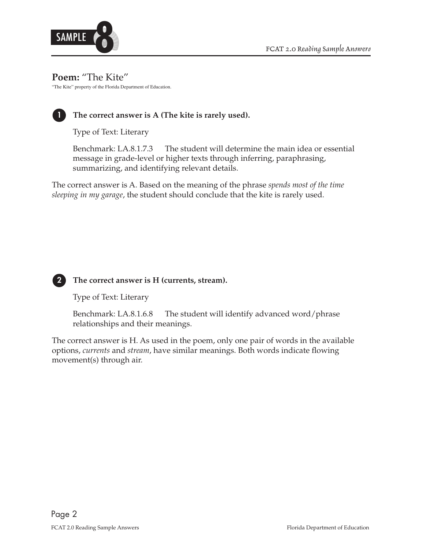

#### **Poem:** "The Kite"

"The Kite" property of the Florida Department of Education.



# **1 The correct answer is A (The kite is rarely used).**

Type of Text: Literary

Benchmark: LA.8.1.7.3 The student will determine the main idea or essential message in grade-level or higher texts through inferring, paraphrasing, summarizing, and identifying relevant details.

The correct answer is A. Based on the meaning of the phrase *spends most of the time sleeping in my garage*, the student should conclude that the kite is rarely used.



#### **2 The correct answer is H (currents, stream).**

Type of Text: Literary

Benchmark: LA.8.1.6.8 The student will identify advanced word/phrase relationships and their meanings.

The correct answer is H. As used in the poem, only one pair of words in the available options, *currents* and *stream*, have similar meanings. Both words indicate flowing movement(s) through air.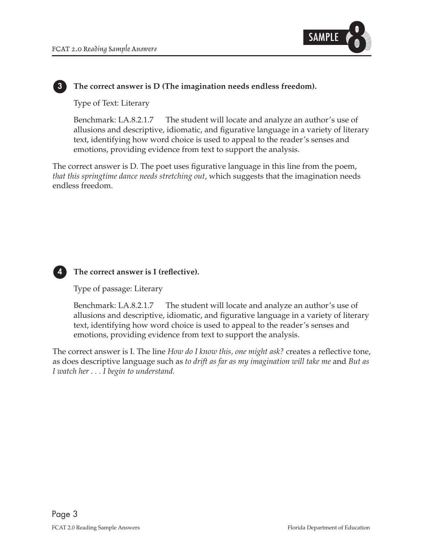

#### **3 The correct answer is D (The imagination needs endless freedom).**

Type of Text: Literary

Benchmark: LA.8.2.1.7 The student will locate and analyze an author's use of allusions and descriptive, idiomatic, and figurative language in a variety of literary text, identifying how word choice is used to appeal to the reader's senses and emotions, providing evidence from text to support the analysis.

The correct answer is D. The poet uses figurative language in this line from the poem, *that this springtime dance needs stretching out*, which suggests that the imagination needs endless freedom.



#### **4 The correct answer is I (reflective).**

Type of passage: Literary

Benchmark: LA.8.2.1.7 The student will locate and analyze an author's use of allusions and descriptive, idiomatic, and figurative language in a variety of literary text, identifying how word choice is used to appeal to the reader's senses and emotions, providing evidence from text to support the analysis.

The correct answer is I. The line *How do I know this, one might ask?* creates a reflective tone, as does descriptive language such as *to drift as far as my imagination will take me* and *But as I watch her . . . I begin to understand.*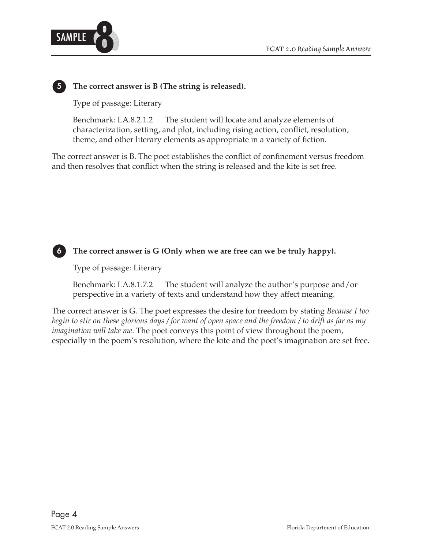

#### **5 The correct answer is B (The string is released).**

Type of passage: Literary

Benchmark: LA.8.2.1.2 The student will locate and analyze elements of characterization, setting, and plot, including rising action, conflict, resolution, theme, and other literary elements as appropriate in a variety of fiction.

The correct answer is B. The poet establishes the conflict of confinement versus freedom and then resolves that conflict when the string is released and the kite is set free.



 **6 The correct answer is G (Only when we are free can we be truly happy).** 

Type of passage: Literary

Benchmark: LA.8.1.7.2 The student will analyze the author's purpose and/or perspective in a variety of texts and understand how they affect meaning.

The correct answer is G. The poet expresses the desire for freedom by stating *Because I too begin to stir on these glorious days / for want of open space and the freedom / to drift as far as my imagination will take me*. The poet conveys this point of view throughout the poem, especially in the poem's resolution, where the kite and the poet's imagination are set free.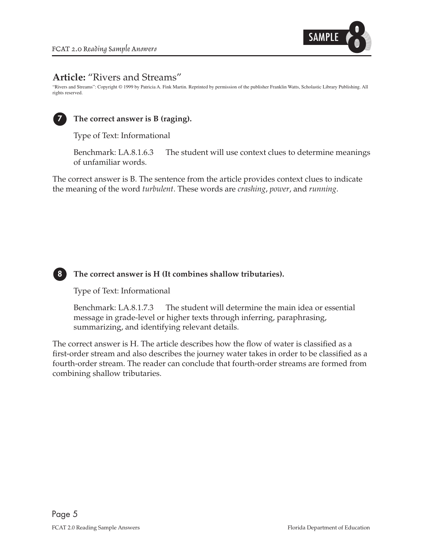

# **Article:** "Rivers and Streams"

"Rivers and Streams": Copyright © 1999 by Patricia A. Fink Martin. Reprinted by permission of the publisher Franklin Watts, Scholastic Library Publishing. All rights reserved.



# **7 The correct answer is B (raging).**

Type of Text: Informational

Benchmark: LA.8.1.6.3 The student will use context clues to determine meanings of unfamiliar words.

The correct answer is B. The sentence from the article provides context clues to indicate the meaning of the word *turbulent*. These words are *crashing*, *power*, and *running*.



#### **8 The correct answer is H (It combines shallow tributaries).**

Type of Text: Informational

Benchmark: LA.8.1.7.3 The student will determine the main idea or essential message in grade-level or higher texts through inferring, paraphrasing, summarizing, and identifying relevant details.

The correct answer is H. The article describes how the flow of water is classified as a first-order stream and also describes the journey water takes in order to be classified as a fourth-order stream. The reader can conclude that fourth-order streams are formed from combining shallow tributaries.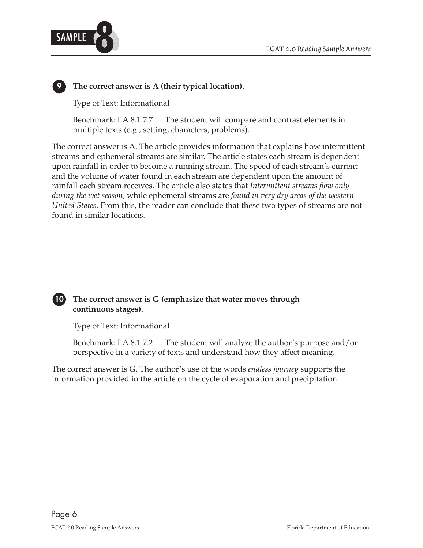



# **9 The correct answer is A (their typical location).**

Type of Text: Informational

Benchmark: LA.8.1.7.7 The student will compare and contrast elements in multiple texts (e.g., setting, characters, problems).

The correct answer is A. The article provides information that explains how intermittent streams and ephemeral streams are similar. The article states each stream is dependent upon rainfall in order to become a running stream. The speed of each stream's current and the volume of water found in each stream are dependent upon the amount of rainfall each stream receives. The article also states that *Intermittent streams flow only during the wet season,* while ephemeral streams are *found in very dry areas of the western United States.* From this, the reader can conclude that these two types of streams are not found in similar locations.



 **10 The correct answer is G (emphasize that water moves through continuous stages).** 

Type of Text: Informational

 Benchmark: LA.8.1.7.2 The student will analyze the author's purpose and/or perspective in a variety of texts and understand how they affect meaning.

The correct answer is G. The author's use of the words *endless journey* supports the information provided in the article on the cycle of evaporation and precipitation.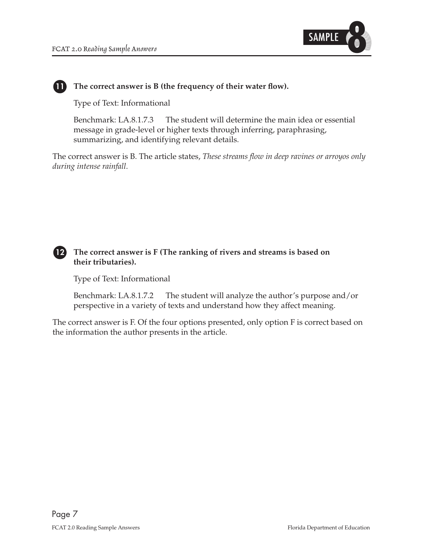

## **11 The correct answer is B (the frequency of their water flow).**

Type of Text: Informational

Benchmark: LA.8.1.7.3 The student will determine the main idea or essential message in grade-level or higher texts through inferring, paraphrasing, summarizing, and identifying relevant details.

The correct answer is B. The article states, *These streams flow in deep ravines or arroyos only during intense rainfall*.

#### **12 The correct answer is F (The ranking of rivers and streams is based on their tributaries).**

Type of Text: Informational

Benchmark: LA.8.1.7.2 The student will analyze the author's purpose and/or perspective in a variety of texts and understand how they affect meaning.

The correct answer is F. Of the four options presented, only option F is correct based on the information the author presents in the article.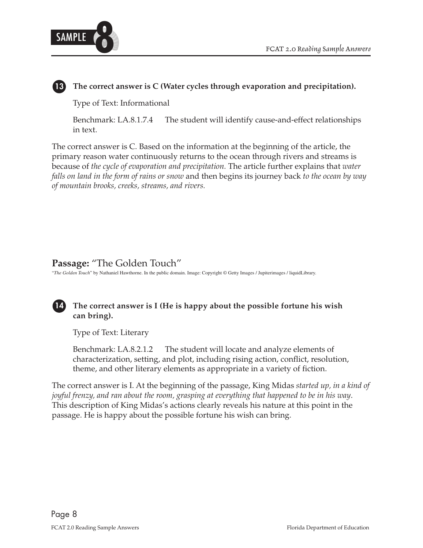



## **13 The correct answer is C (Water cycles through evaporation and precipitation).**

Type of Text: Informational

Benchmark: LA.8.1.7.4 The student will identify cause-and-effect relationships in text.

The correct answer is C. Based on the information at the beginning of the article, the primary reason water continuously returns to the ocean through rivers and streams is because of *the cycle of evaporation and precipitation.* The article further explains that *water falls on land in the form of rains or snow* and then begins its journey back *to the ocean by way of mountain brooks, creeks, streams, and rivers.* 

# **Passage:** "The Golden Touch"

"*The Golden Touch*" by Nathaniel Hawthorne. In the public domain. Image: Copyright © Getty Images / Jupiterimages / liquidLibrary.

# **14 The correct answer is I (He is happy about the possible fortune his wish can bring).**

Type of Text: Literary

Benchmark: LA.8.2.1.2 The student will locate and analyze elements of characterization, setting, and plot, including rising action, conflict, resolution, theme, and other literary elements as appropriate in a variety of fiction.

The correct answer is I. At the beginning of the passage, King Midas *started up, in a kind of joyful frenzy, and ran about the room, grasping at everything that happened to be in his way*. This description of King Midas's actions clearly reveals his nature at this point in the passage. He is happy about the possible fortune his wish can bring.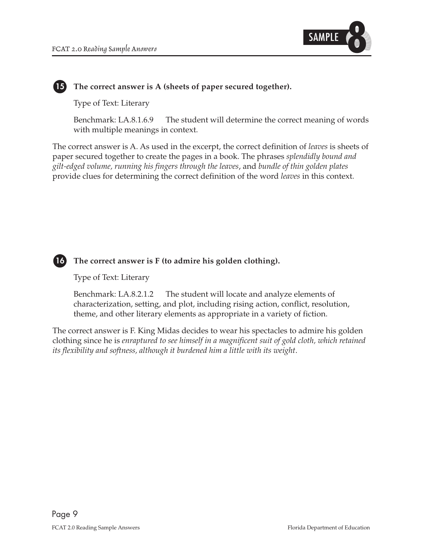

## **15 The correct answer is A (sheets of paper secured together).**

Type of Text: Literary

Benchmark: LA.8.1.6.9 The student will determine the correct meaning of words with multiple meanings in context.

The correct answer is A. As used in the excerpt, the correct definition of *leaves* is sheets of paper secured together to create the pages in a book. The phrases *splendidly bound and gilt-edged volume, running his fingers through the leaves*, and *bundle of thin golden plates*  provide clues for determining the correct definition of the word *leaves* in this context.



 **16 The correct answer is F (to admire his golden clothing).** 

Type of Text: Literary

Benchmark: LA.8.2.1.2 The student will locate and analyze elements of characterization, setting, and plot, including rising action, conflict, resolution, theme, and other literary elements as appropriate in a variety of fiction.

The correct answer is F. King Midas decides to wear his spectacles to admire his golden clothing since he is *enraptured to see himself in a magnificent suit of gold cloth, which retained its flexibility and softness, although it burdened him a little with its weight*.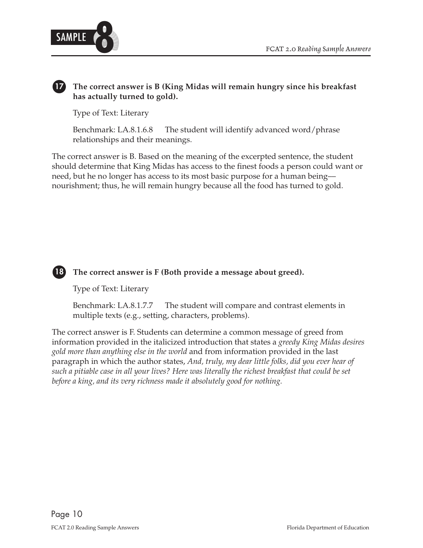

# **17 The correct answer is B (King Midas will remain hungry since his breakfast has actually turned to gold).**

Type of Text: Literary

Benchmark: LA.8.1.6.8 The student will identify advanced word/phrase relationships and their meanings.

The correct answer is B. Based on the meaning of the excerpted sentence, the student should determine that King Midas has access to the finest foods a person could want or need, but he no longer has access to its most basic purpose for a human being–– nourishment; thus, he will remain hungry because all the food has turned to gold.



# **18 The correct answer is F (Both provide a message about greed).**

Type of Text: Literary

Benchmark: LA.8.1.7.7 The student will compare and contrast elements in multiple texts (e.g., setting, characters, problems).

The correct answer is F. Students can determine a common message of greed from information provided in the italicized introduction that states a *greedy King Midas desires gold more than anything else in the world* and from information provided in the last paragraph in which the author states, *And, truly, my dear little folks, did you ever hear of such a pitiable case in all your lives? Here was literally the richest breakfast that could be set before a king, and its very richness made it absolutely good for nothing.*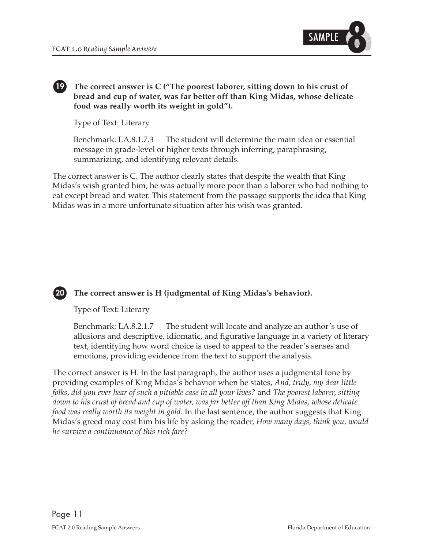

#### **19 The correct answer is C ("The poorest laborer, sitting down to his crust of bread and cup of water, was far better off than King Midas, whose delicate food was really worth its weight in gold").**

Type of Text: Literary

Benchmark: LA.8.1.7.3 The student will determine the main idea or essential message in grade-level or higher texts through inferring, paraphrasing, summarizing, and identifying relevant details.

The correct answer is C. The author clearly states that despite the wealth that King Midas's wish granted him, he was actually more poor than a laborer who had nothing to eat except bread and water. This statement from the passage supports the idea that King Midas was in a more unfortunate situation after his wish was granted.

# **20 The correct answer is H (judgmental of King Midas's behavior).**

Type of Text: Literary

Benchmark: LA.8.2.1.7 The student will locate and analyze an author's use of allusions and descriptive, idiomatic, and figurative language in a variety of literary text, identifying how word choice is used to appeal to the reader's senses and emotions, providing evidence from the text to support the analysis.

The correct answer is H. In the last paragraph, the author uses a judgmental tone by providing examples of King Midas's behavior when he states, *And, truly, my dear little folks, did you ever hear of such a pitiable case in all your lives?* and *The poorest laborer, sitting down to his crust of bread and cup of water, was far better off than King Midas, whose delicate food was really worth its weight in gold*. In the last sentence, the author suggests that King Midas's greed may cost him his life by asking the reader, *How many days, think you, would he survive a continuance of this rich fare?*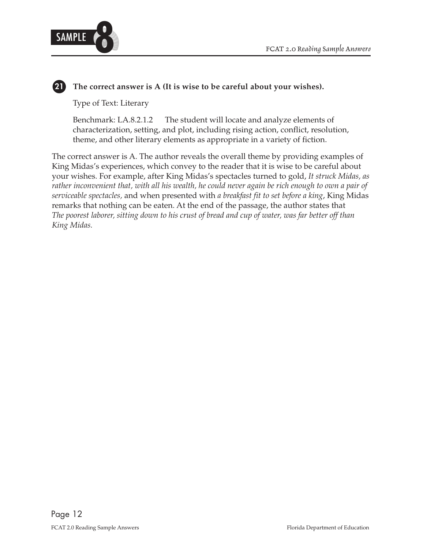

# **21 The correct answer is A (It is wise to be careful about your wishes).**

Type of Text: Literary

Benchmark: LA.8.2.1.2 The student will locate and analyze elements of characterization, setting, and plot, including rising action, conflict, resolution, theme, and other literary elements as appropriate in a variety of fiction.

The correct answer is A. The author reveals the overall theme by providing examples of King Midas's experiences, which convey to the reader that it is wise to be careful about your wishes. For example, after King Midas's spectacles turned to gold, *It struck Midas, as rather inconvenient that, with all his wealth, he could never again be rich enough to own a pair of serviceable spectacles,* and when presented with *a breakfast fit to set before a king*, King Midas remarks that nothing can be eaten. At the end of the passage, the author states that *The poorest laborer, sitting down to his crust of bread and cup of water, was far better off than King Midas.*